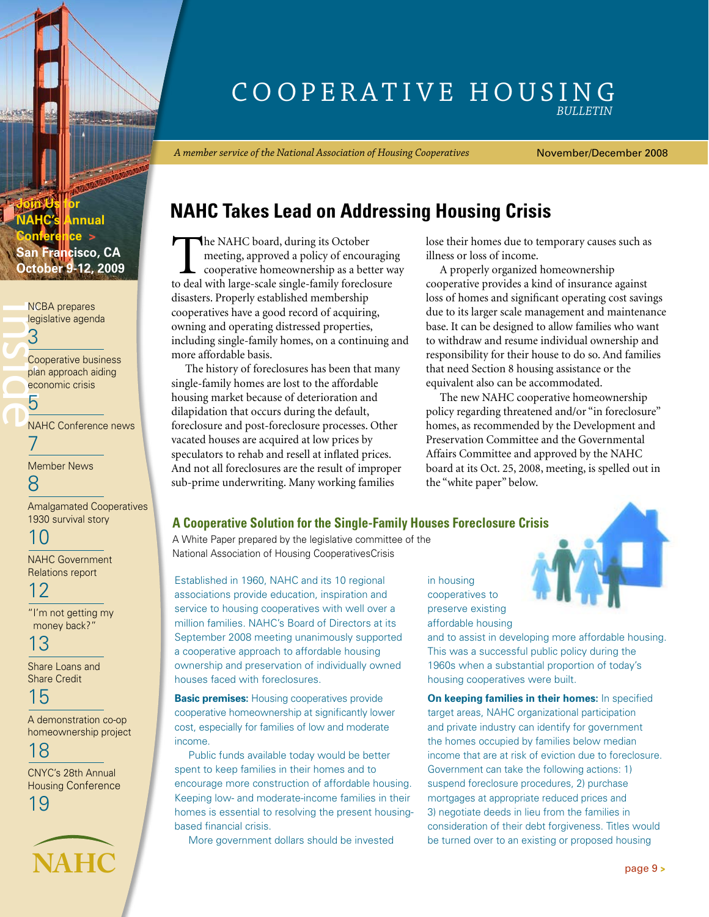# COOPERATIVE HOUSING *Bulletin*

*A member service of the National Association of Housing Cooperatives*

November/December 2008

# **NAHC Takes Lead on Addressing Housing Crisis**

**October 9-12, 2009** The NAHC board, during its October San Francisco, CA The NAHC board, during its October 9-12, 2009 meeting, approved a policy of encouraging cooperative homeownership as a better way to deal with large-scale single-family foreclosure disasters. Properly established membership cooperatives have a good record of acquiring, owning and operating distressed properties, including single-family homes, on a continuing and more affordable basis.

> The history of foreclosures has been that many single-family homes are lost to the affordable housing market because of deterioration and dilapidation that occurs during the default, foreclosure and post-foreclosure processes. Other vacated houses are acquired at low prices by speculators to rehab and resell at inflated prices. And not all foreclosures are the result of improper sub-prime underwriting. Many working families

lose their homes due to temporary causes such as illness or loss of income.

A properly organized homeownership cooperative provides a kind of insurance against loss of homes and significant operating cost savings due to its larger scale management and maintenance base. It can be designed to allow families who want to withdraw and resume individual ownership and responsibility for their house to do so. And families that need Section 8 housing assistance or the equivalent also can be accommodated.

The new NAHC cooperative homeownership policy regarding threatened and/or "in foreclosure" homes, as recommended by the Development and Preservation Committee and the Governmental Affairs Committee and approved by the NAHC board at its Oct. 25, 2008, meeting, is spelled out in the "white paper" below.

## **A Cooperative Solution for the Single-Family Houses Foreclosure Crisis**

A White Paper prepared by the legislative committee of the National Association of Housing CooperativesCrisis

Established in 1960, NAHC and its 10 regional associations provide education, inspiration and service to housing cooperatives with well over a million families. NAHC's Board of Directors at its September 2008 meeting unanimously supported a cooperative approach to affordable housing ownership and preservation of individually owned houses faced with foreclosures.

**Basic premises:** Housing cooperatives provide cooperative homeownership at significantly lower cost, especially for families of low and moderate income.

Public funds available today would be better spent to keep families in their homes and to encourage more construction of affordable housing. Keeping low- and moderate-income families in their homes is essential to resolving the present housingbased financial crisis.

More government dollars should be invested

in housing cooperatives to preserve existing affordable housing

and to assist in developing more affordable housing. This was a successful public policy during the 1960s when a substantial proportion of today's housing cooperatives were built.

**On keeping families in their homes:** In specified target areas, NAHC organizational participation and private industry can identify for government the homes occupied by families below median income that are at risk of eviction due to foreclosure. Government can take the following actions: 1) suspend foreclosure procedures, 2) purchase mortgages at appropriate reduced prices and 3) negotiate deeds in lieu from the families in consideration of their debt forgiveness. Titles would be turned over to an existing or proposed housing

**Conference > ncisco, CA** NCBA prepares [legislative agenda](#page-2-0)

**nnual** 

<span id="page-0-0"></span>**Join Us for** 

instruction of the state of the state of the state of the state of the state of the state of the state of the state of the state of the state of the state of the state of the state of the state of the state of the state of 3 Cooperative business [plan approach aiding](#page-4-0)  economic crisis

[NAHC Conference news](#page-6-0) 7

[Member News](#page-7-0) 8

5

[Amalgamated Cooperatives](#page-9-0) 1930 survival story

10

[NAHC Government](#page-11-0)  Relations report

12 ["I'm not getting my](#page-12-0) money back?"

13

[Share Loans and](#page-14-0)  Share Credit

15

A demonstration co-op [homeownership project](#page-17-0)

18

CNYC's 28th Annual [Housing Conference](#page-18-0)

**NAHC**



[page 9](#page-8-0) **>**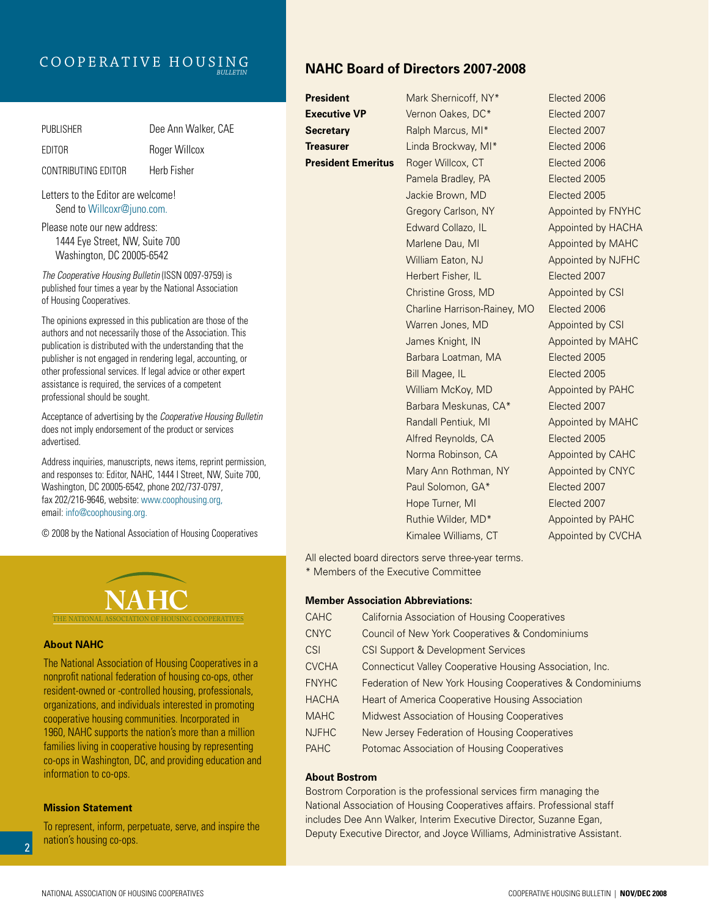# Cooperative Housing *Bulletin*

| <b>PUBLISHER</b>    | Dee Ann Walker, CAE |
|---------------------|---------------------|
| EDITOR              | Roger Willcox       |
| CONTRIBUTING EDITOR | Herb Fisher         |

Letters to the Editor are welcome! Send to Willcoxr@juno.com.

Please note our new address: 1444 Eye Street, NW, Suite 700 Washington, DC 20005-6542

*The Cooperative Housing Bulletin* (ISSN 0097-9759) is published four times a year by the National Association of Housing Cooperatives.

The opinions expressed in this publication are those of the authors and not necessarily those of the Association. This publication is distributed with the understanding that the publisher is not engaged in rendering legal, accounting, or other professional services. If legal advice or other expert assistance is required, the services of a competent professional should be sought.

Acceptance of advertising by the *Cooperative Housing Bulletin*  does not imply endorsement of the product or services advertised.

Address inquiries, manuscripts, news items, reprint permission, and responses to: Editor, NAHC, 1444 I Street, NW, Suite 700, Washington, DC 20005-6542, phone 202/737-0797, fax 202/216-9646, website: www.coophousing.org, email: info@coophousing.org.

© 2008 by the National Association of Housing Cooperatives



#### **About NAHC**

The National Association of Housing Cooperatives in a nonprofit national federation of housing co-ops, other resident-owned or -controlled housing, professionals, organizations, and individuals interested in promoting cooperative housing communities. Incorporated in 1960, NAHC supports the nation's more than a million families living in cooperative housing by representing co-ops in Washington, DC, and providing education and information to co-ops.

#### **Mission Statement**

To represent, inform, perpetuate, serve, and inspire the nation's housing co-ops.

# **NAHC Board of Directors 2007-2008**

**President** Mark Shernicoff, NY<sup>\*</sup> Elected 2006 **Executive VP** Vernon Oakes, DC\* Elected 2007 **Secretary** Ralph Marcus, MI\* Elected 2007 **Treasurer** Linda Brockway, MI\* Elected 2006 **President Emeritus** Roger Willcox, CT Elected 2006 Pamela Bradley, PA Elected 2005 Jackie Brown, MD Elected 2005 Gregory Carlson, NY Appointed by FNYHC Edward Collazo, IL Appointed by HACHA Marlene Dau, MI Appointed by MAHC William Eaton, NJ Appointed by NJFHC Herbert Fisher, IL **Elected 2007** Christine Gross, MD Appointed by CSI Charline Harrison-Rainey, MO Elected 2006 Warren Jones, MD Appointed by CSI James Knight, IN Appointed by MAHC Barbara Loatman, MA **Elected** 2005 Bill Magee, IL **Elected 2005** William McKoy, MD Appointed by PAHC Barbara Meskunas, CA\* Elected 2007 Randall Pentiuk, MI Appointed by MAHC Alfred Reynolds, CA **Elected 2005** Norma Robinson, CA Appointed by CAHC Mary Ann Rothman, NY Appointed by CNYC Paul Solomon, GA\* Elected 2007 Hope Turner, MI Elected 2007 Ruthie Wilder, MD<sup>\*</sup> Appointed by PAHC Kimalee Williams, CT Appointed by CVCHA

All elected board directors serve three-year terms. \* Members of the Executive Committee

#### **Member Association Abbreviations:**

| <b>CAHC</b>  | <b>California Association of Housing Cooperatives</b>      |
|--------------|------------------------------------------------------------|
| <b>CNYC</b>  | Council of New York Cooperatives & Condominiums            |
| <b>CSI</b>   | CSI Support & Development Services                         |
| <b>CVCHA</b> | Connecticut Valley Cooperative Housing Association, Inc.   |
| <b>FNYHC</b> | Federation of New York Housing Cooperatives & Condominiums |
| <b>HACHA</b> | Heart of America Cooperative Housing Association           |
| <b>MAHC</b>  | Midwest Association of Housing Cooperatives                |
| <b>NJFHC</b> | New Jersey Federation of Housing Cooperatives              |
| <b>PAHC</b>  | Potomac Association of Housing Cooperatives                |

#### **About Bostrom**

Bostrom Corporation is the professional services firm managing the National Association of Housing Cooperatives affairs. Professional staff includes Dee Ann Walker, Interim Executive Director, Suzanne Egan, Deputy Executive Director, and Joyce Williams, Administrative Assistant.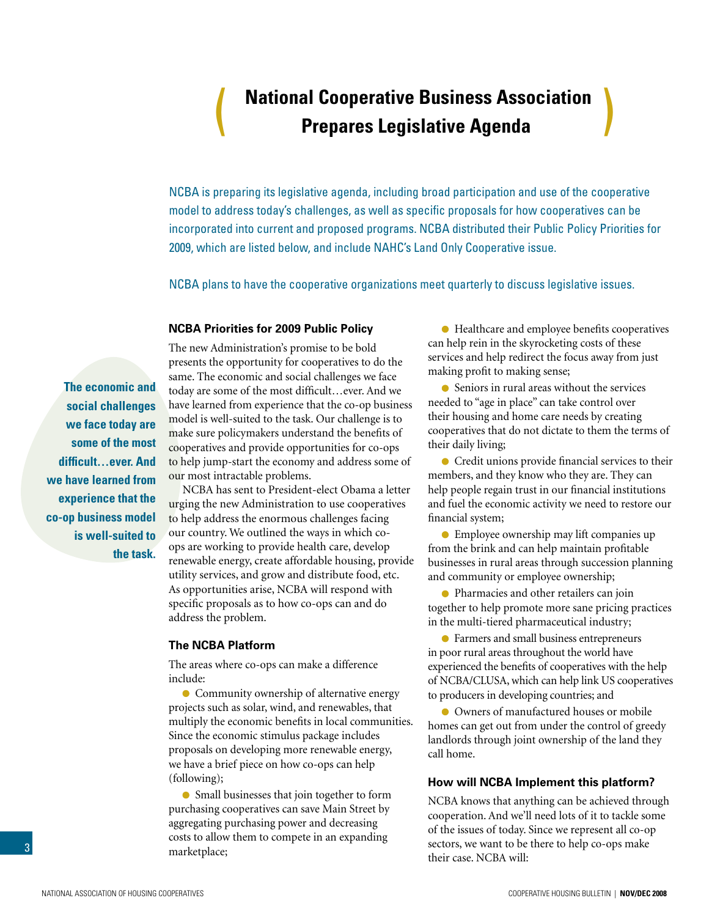# **National Cooperative Business Association** ( **Prepares Legislative Agenda** )

<span id="page-2-0"></span>NCBA is preparing its legislative agenda, including broad participation and use of the cooperative model to address today's challenges, as well as specific proposals for how cooperatives can be incorporated into current and proposed programs. NCBA distributed their Public Policy Priorities for 2009, which are listed below, and include NAHC's Land Only Cooperative issue.

NCBA plans to have the cooperative organizations meet quarterly to discuss legislative issues.

#### **NCBA Priorities for 2009 Public Policy**

**The economic and social challenges we face today are some of the most difficult…ever. And we have learned from experience that the co-op business model is well-suited to the task.**

The new Administration's promise to be bold presents the opportunity for cooperatives to do the same. The economic and social challenges we face today are some of the most difficult…ever. And we have learned from experience that the co-op business model is well-suited to the task. Our challenge is to make sure policymakers understand the benefits of cooperatives and provide opportunities for co-ops to help jump-start the economy and address some of our most intractable problems.

NCBA has sent to President-elect Obama a letter urging the new Administration to use cooperatives to help address the enormous challenges facing our country. We outlined the ways in which coops are working to provide health care, develop renewable energy, create affordable housing, provide utility services, and grow and distribute food, etc. As opportunities arise, NCBA will respond with specific proposals as to how co-ops can and do address the problem.

#### **The NCBA Platform**

The areas where co-ops can make a difference include:

**• Community ownership of alternative energy** projects such as solar, wind, and renewables, that multiply the economic benefits in local communities. Since the economic stimulus package includes proposals on developing more renewable energy, we have a brief piece on how co-ops can help (following);

Small businesses that join together to form purchasing cooperatives can save Main Street by aggregating purchasing power and decreasing costs to allow them to compete in an expanding marketplace;

Healthcare and employee benefits cooperatives can help rein in the skyrocketing costs of these services and help redirect the focus away from just making profit to making sense;

Seniors in rural areas without the services needed to "age in place" can take control over their housing and home care needs by creating cooperatives that do not dictate to them the terms of their daily living;

Credit unions provide financial services to their members, and they know who they are. They can help people regain trust in our financial institutions and fuel the economic activity we need to restore our financial system;

Employee ownership may lift companies up from the brink and can help maintain profitable businesses in rural areas through succession planning and community or employee ownership;

Pharmacies and other retailers can join together to help promote more sane pricing practices in the multi-tiered pharmaceutical industry;

Farmers and small business entrepreneurs in poor rural areas throughout the world have experienced the benefits of cooperatives with the help of NCBA/CLUSA, which can help link US cooperatives to producers in developing countries; and

Owners of manufactured houses or mobile homes can get out from under the control of greedy landlords through joint ownership of the land they call home.

#### **How will NCBA Implement this platform?**

NCBA knows that anything can be achieved through cooperation. And we'll need lots of it to tackle some of the issues of today. Since we represent all co-op sectors, we want to be there to help co-ops make their case. NCBA will: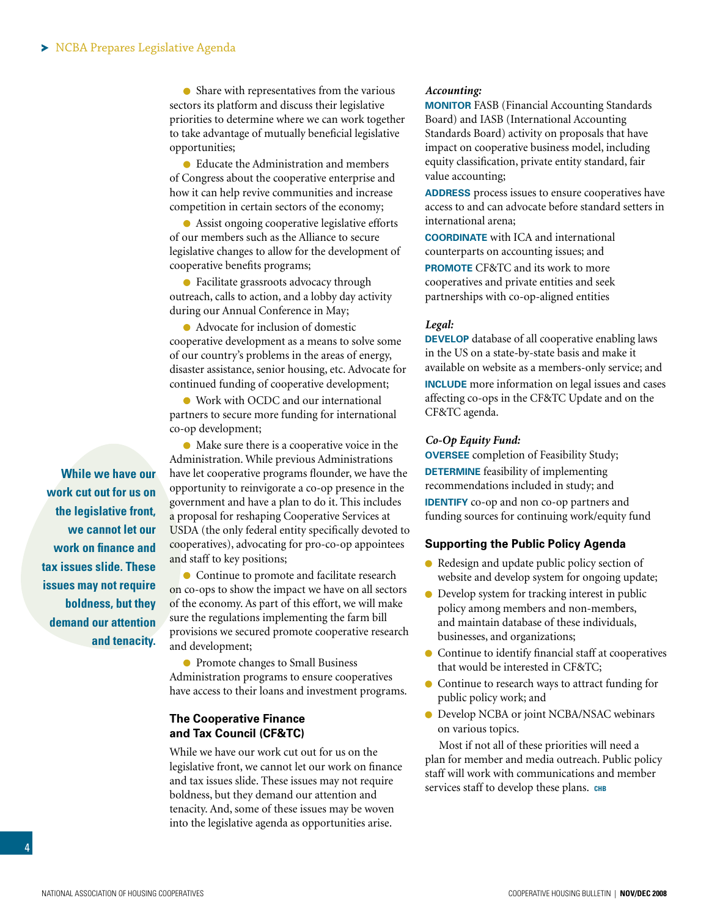• Share with representatives from the various sectors its platform and discuss their legislative priorities to determine where we can work together to take advantage of mutually beneficial legislative opportunities;

Educate the Administration and members of Congress about the cooperative enterprise and how it can help revive communities and increase competition in certain sectors of the economy;

Assist ongoing cooperative legislative efforts of our members such as the Alliance to secure legislative changes to allow for the development of cooperative benefits programs;

Facilitate grassroots advocacy through outreach, calls to action, and a lobby day activity during our Annual Conference in May;

Advocate for inclusion of domestic cooperative development as a means to solve some of our country's problems in the areas of energy, disaster assistance, senior housing, etc. Advocate for continued funding of cooperative development;

Work with OCDC and our international partners to secure more funding for international co-op development;

Make sure there is a cooperative voice in the Administration. While previous Administrations have let cooperative programs flounder, we have the opportunity to reinvigorate a co-op presence in the government and have a plan to do it. This includes a proposal for reshaping Cooperative Services at USDA (the only federal entity specifically devoted to cooperatives), advocating for pro-co-op appointees and staff to key positions;

• Continue to promote and facilitate research on co-ops to show the impact we have on all sectors of the economy. As part of this effort, we will make sure the regulations implementing the farm bill provisions we secured promote cooperative research and development;

**• Promote changes to Small Business** Administration programs to ensure cooperatives have access to their loans and investment programs.

### **The Cooperative Finance and Tax Council (CF&TC)**

While we have our work cut out for us on the legislative front, we cannot let our work on finance and tax issues slide. These issues may not require boldness, but they demand our attention and tenacity. And, some of these issues may be woven into the legislative agenda as opportunities arise.

#### *Accounting:*

**Monitor** FASB (Financial Accounting Standards Board) and IASB (International Accounting Standards Board) activity on proposals that have impact on cooperative business model, including equity classification, private entity standard, fair value accounting;

**ADDRESS** process issues to ensure cooperatives have access to and can advocate before standard setters in international arena;

**Coordinate** with ICA and international counterparts on accounting issues; and **PROMOTE** CF&TC and its work to more cooperatives and private entities and seek partnerships with co-op-aligned entities

#### *Legal:*

**DEVELOP** database of all cooperative enabling laws in the US on a state-by-state basis and make it available on website as a members-only service; and **INCLUDE** more information on legal issues and cases affecting co-ops in the CF&TC Update and on the CF&TC agenda.

#### *Co-Op Equity Fund:*

**Oversee** completion of Feasibility Study; **DETERMINE** feasibility of implementing recommendations included in study; and **IDENTIFY** co-op and non co-op partners and funding sources for continuing work/equity fund

#### **Supporting the Public Policy Agenda**

- Redesign and update public policy section of website and develop system for ongoing update;
- Develop system for tracking interest in public policy among members and non-members, and maintain database of these individuals, businesses, and organizations;
- Continue to identify financial staff at cooperatives that would be interested in CF&TC;
- Continue to research ways to attract funding for public policy work; and
- Develop NCBA or joint NCBA/NSAC webinars on various topics.

Most if not all of these priorities will need a plan for member and media outreach. Public policy staff will work with communications and member services staff to develop these plans. CHB

**While we have our work cut out for us on the legislative front, we cannot let our work on finance and tax issues slide. These issues may not require boldness, but they demand our attention and tenacity.**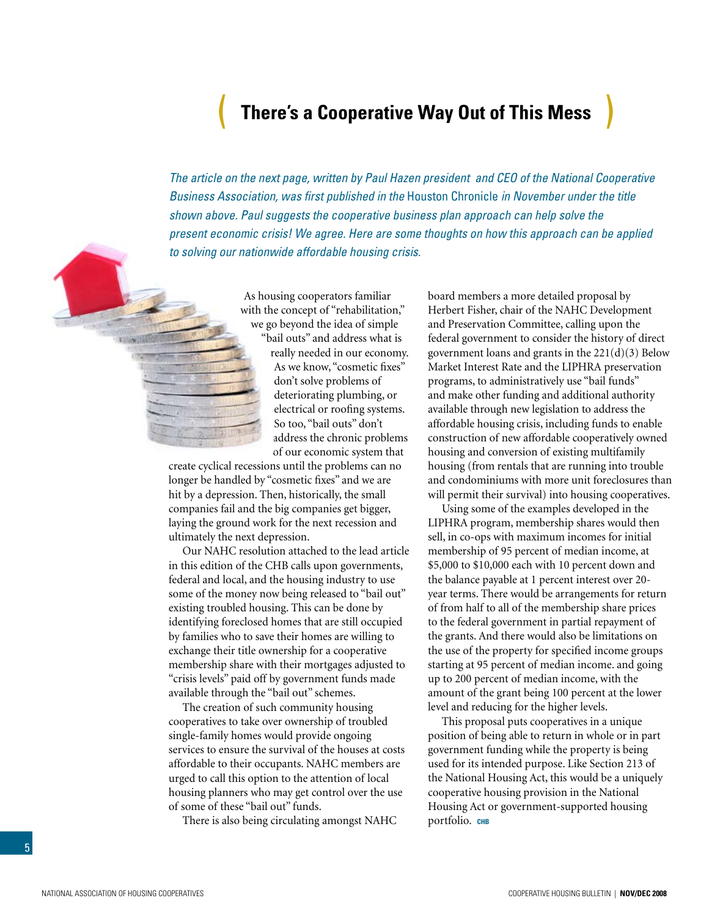# ( **There's a Cooperative Way Out of This Mess** )

<span id="page-4-0"></span>*The article on the next page, written by Paul Hazen president and CEO of the National Cooperative Business Association, was first published in the* Houston Chronicle *in November under the title shown above. Paul suggests the cooperative business plan approach can help solve the present economic crisis! We agree. Here are some thoughts on how this approach can be applied to solving our nationwide affordable housing crisis.*



As housing cooperators familiar with the concept of "rehabilitation," we go beyond the idea of simple "bail outs" and address what is really needed in our economy. As we know, "cosmetic fixes" don't solve problems of deteriorating plumbing, or electrical or roofing systems. So too, "bail outs" don't address the chronic problems of our economic system that

create cyclical recessions until the problems can no longer be handled by "cosmetic fixes" and we are hit by a depression. Then, historically, the small companies fail and the big companies get bigger, laying the ground work for the next recession and ultimately the next depression.

Our NAHC resolution attached to the lead article in this edition of the CHB calls upon governments, federal and local, and the housing industry to use some of the money now being released to "bail out" existing troubled housing. This can be done by identifying foreclosed homes that are still occupied by families who to save their homes are willing to exchange their title ownership for a cooperative membership share with their mortgages adjusted to "crisis levels" paid off by government funds made available through the "bail out" schemes.

The creation of such community housing cooperatives to take over ownership of troubled single-family homes would provide ongoing services to ensure the survival of the houses at costs affordable to their occupants. NAHC members are urged to call this option to the attention of local housing planners who may get control over the use of some of these "bail out" funds.

There is also being circulating amongst NAHC

board members a more detailed proposal by Herbert Fisher, chair of the NAHC Development and Preservation Committee, calling upon the federal government to consider the history of direct government loans and grants in the 221(d)(3) Below Market Interest Rate and the LIPHRA preservation programs, to administratively use "bail funds" and make other funding and additional authority available through new legislation to address the affordable housing crisis, including funds to enable construction of new affordable cooperatively owned housing and conversion of existing multifamily housing (from rentals that are running into trouble and condominiums with more unit foreclosures than will permit their survival) into housing cooperatives.

Using some of the examples developed in the LIPHRA program, membership shares would then sell, in co-ops with maximum incomes for initial membership of 95 percent of median income, at \$5,000 to \$10,000 each with 10 percent down and the balance payable at 1 percent interest over 20 year terms. There would be arrangements for return of from half to all of the membership share prices to the federal government in partial repayment of the grants. And there would also be limitations on the use of the property for specified income groups starting at 95 percent of median income. and going up to 200 percent of median income, with the amount of the grant being 100 percent at the lower level and reducing for the higher levels.

This proposal puts cooperatives in a unique position of being able to return in whole or in part government funding while the property is being used for its intended purpose. Like Section 213 of the National Housing Act, this would be a uniquely cooperative housing provision in the National Housing Act or government-supported housing portfolio. **chb**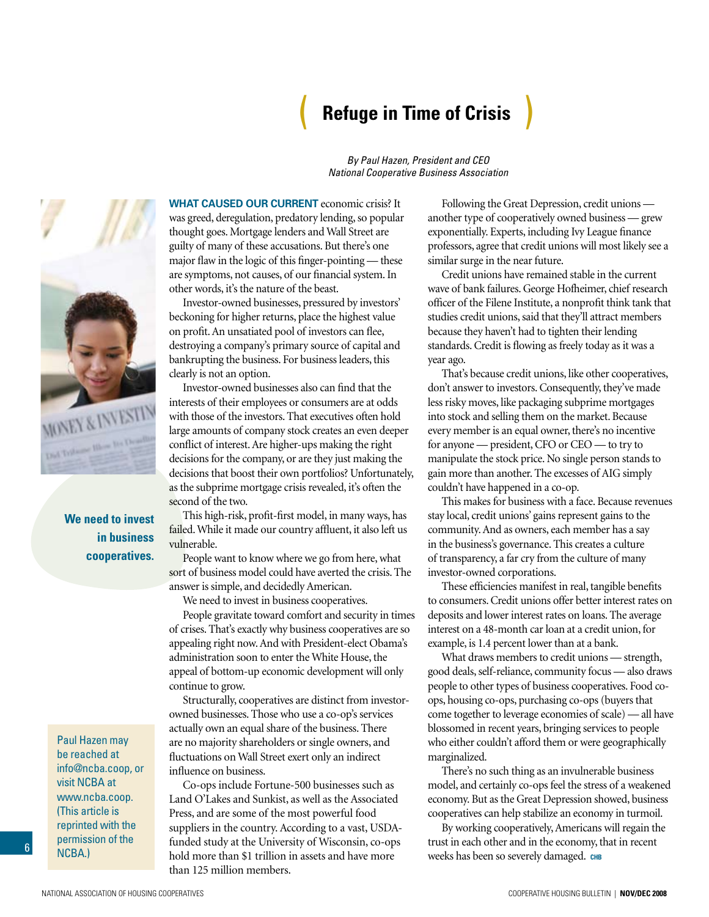# ( **Refuge in Time of Crisis** )

*By Paul Hazen, President and CEO National Cooperative Business Association*

**NEY & INVEST** 

**We need to invest in business cooperatives.**

Paul Hazen may be reached at info@ncba.coop, or visit NCBA at www.ncba.coop. (This article is reprinted with the permission of the NCBA.)

6

**What caused our current** economic crisis? It was greed, deregulation, predatory lending, so popular thought goes. Mortgage lenders and Wall Street are guilty of many of these accusations. But there's one major flaw in the logic of this finger-pointing — these are symptoms, not causes, of our financial system. In other words, it's the nature of the beast.

Investor-owned businesses, pressured by investors' beckoning for higher returns, place the highest value on profit. An unsatiated pool of investors can flee, destroying a company's primary source of capital and bankrupting the business. For business leaders, this clearly is not an option.

Investor-owned businesses also can find that the interests of their employees or consumers are at odds with those of the investors. That executives often hold large amounts of company stock creates an even deeper conflict of interest. Are higher-ups making the right decisions for the company, or are they just making the decisions that boost their own portfolios? Unfortunately, as the subprime mortgage crisis revealed, it's often the second of the two.

This high-risk, profit-first model, in many ways, has failed. While it made our country affluent, it also left us vulnerable.

People want to know where we go from here, what sort of business model could have averted the crisis. The answer is simple, and decidedly American.

We need to invest in business cooperatives.

People gravitate toward comfort and security in times of crises. That's exactly why business cooperatives are so appealing right now. And with President-elect Obama's administration soon to enter the White House, the appeal of bottom-up economic development will only continue to grow.

Structurally, cooperatives are distinct from investorowned businesses. Those who use a co-op's services actually own an equal share of the business. There are no majority shareholders or single owners, and fluctuations on Wall Street exert only an indirect influence on business.

Co-ops include Fortune-500 businesses such as Land O'Lakes and Sunkist, as well as the Associated Press, and are some of the most powerful food suppliers in the country. According to a vast, USDAfunded study at the University of Wisconsin, co-ops hold more than \$1 trillion in assets and have more than 125 million members.

Following the Great Depression, credit unions another type of cooperatively owned business — grew exponentially. Experts, including Ivy League finance professors, agree that credit unions will most likely see a similar surge in the near future.

Credit unions have remained stable in the current wave of bank failures. George Hofheimer, chief research officer of the Filene Institute, a nonprofit think tank that studies credit unions, said that they'll attract members because they haven't had to tighten their lending standards. Credit is flowing as freely today as it was a year ago.

That's because credit unions, like other cooperatives, don't answer to investors. Consequently, they've made less risky moves, like packaging subprime mortgages into stock and selling them on the market. Because every member is an equal owner, there's no incentive for anyone — president, CFO or CEO — to try to manipulate the stock price. No single person stands to gain more than another. The excesses of AIG simply couldn't have happened in a co-op.

This makes for business with a face. Because revenues stay local, credit unions' gains represent gains to the community. And as owners, each member has a say in the business's governance. This creates a culture of transparency, a far cry from the culture of many investor-owned corporations.

These efficiencies manifest in real, tangible benefits to consumers. Credit unions offer better interest rates on deposits and lower interest rates on loans. The average interest on a 48-month car loan at a credit union, for example, is 1.4 percent lower than at a bank.

What draws members to credit unions — strength, good deals, self-reliance, community focus — also draws people to other types of business cooperatives. Food coops, housing co-ops, purchasing co-ops (buyers that come together to leverage economies of scale) — all have blossomed in recent years, bringing services to people who either couldn't afford them or were geographically marginalized.

There's no such thing as an invulnerable business model, and certainly co-ops feel the stress of a weakened economy. But as the Great Depression showed, business cooperatives can help stabilize an economy in turmoil.

By working cooperatively, Americans will regain the trust in each other and in the economy, that in recent weeks has been so severely damaged. **chb**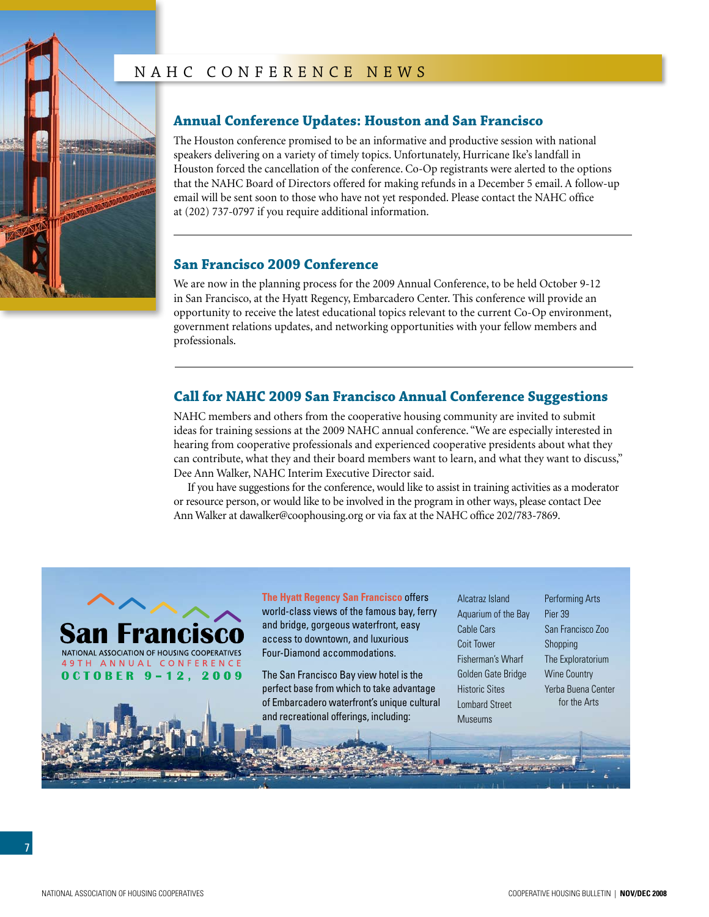# NAHC CONFERENCE NEWS

<span id="page-6-0"></span>

# **Annual Conference Updates: Houston and San Francisco**

The Houston conference promised to be an informative and productive session with national speakers delivering on a variety of timely topics. Unfortunately, Hurricane Ike's landfall in Houston forced the cancellation of the conference. Co-Op registrants were alerted to the options that the NAHC Board of Directors offered for making refunds in a December 5 email. A follow-up email will be sent soon to those who have not yet responded. Please contact the NAHC office at (202) 737-0797 if you require additional information.

## **San Francisco 2009 Conference**

We are now in the planning process for the 2009 Annual Conference, to be held October 9-12 in San Francisco, at the Hyatt Regency, Embarcadero Center. This conference will provide an opportunity to receive the latest educational topics relevant to the current Co-Op environment, government relations updates, and networking opportunities with your fellow members and professionals.

# **Call for NAHC 2009 San Francisco Annual Conference Suggestions**

NAHC members and others from the cooperative housing community are invited to submit ideas for training sessions at the 2009 NAHC annual conference. "We are especially interested in hearing from cooperative professionals and experienced cooperative presidents about what they can contribute, what they and their board members want to learn, and what they want to discuss," Dee Ann Walker, NAHC Interim Executive Director said.

If you have suggestions for the conference, would like to assist in training activities as a moderator or resource person, or would like to be involved in the program in other ways, please contact Dee Ann Walker at dawalker@coophousing.org or via fax at the NAHC office 202/783-7869.



**The Hyatt Regency San Francisco** offers world-class views of the famous bay, ferry and bridge, gorgeous waterfront, easy access to downtown, and luxurious Four-Diamond accommodations.

The San Francisco Bay view hotel is the perfect base from which to take advantage of Embarcadero waterfront's unique cultural and recreational offerings, including:

Alcatraz Island Aquarium of the Bay Cable Cars Coit Tower Fisherman's Wharf Golden Gate Bridge Historic Sites Lombard Street Museums

Performing Arts Pier 39 San Francisco Zoo Shopping The Exploratorium Wine Country Yerba Buena Center for the Arts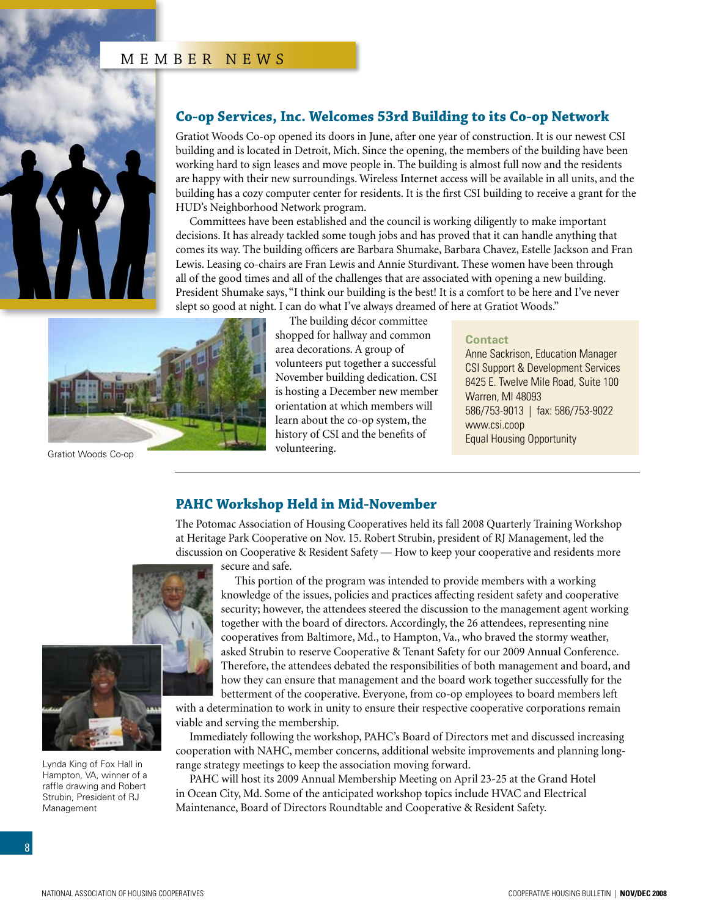# MEMBER NEWS

<span id="page-7-0"></span>

### **Co-op Services, Inc. Welcomes 53rd Building to its Co-op Network**

Gratiot Woods Co-op opened its doors in June, after one year of construction. It is our newest CSI building and is located in Detroit, Mich. Since the opening, the members of the building have been working hard to sign leases and move people in. The building is almost full now and the residents are happy with their new surroundings. Wireless Internet access will be available in all units, and the building has a cozy computer center for residents. It is the first CSI building to receive a grant for the HUD's Neighborhood Network program.

Committees have been established and the council is working diligently to make important decisions. It has already tackled some tough jobs and has proved that it can handle anything that comes its way. The building officers are Barbara Shumake, Barbara Chavez, Estelle Jackson and Fran Lewis. Leasing co-chairs are Fran Lewis and Annie Sturdivant. These women have been through all of the good times and all of the challenges that are associated with opening a new building. President Shumake says, "I think our building is the best! It is a comfort to be here and I've never slept so good at night. I can do what I've always dreamed of here at Gratiot Woods."



Gratiot Woods Co-op

The building décor committee shopped for hallway and common area decorations. A group of volunteers put together a successful November building dedication. CSI is hosting a December new member orientation at which members will learn about the co-op system, the history of CSI and the benefits of volunteering.

#### **Contact**

Anne Sackrison, Education Manager CSI Support & Development Services 8425 E. Twelve Mile Road, Suite 100 Warren, MI 48093 586/753-9013 | fax: 586/753-9022 www.csi.coop Equal Housing Opportunity

### **PAHC Workshop Held in Mid-November**

The Potomac Association of Housing Cooperatives held its fall 2008 Quarterly Training Workshop at Heritage Park Cooperative on Nov. 15. Robert Strubin, president of RJ Management, led the discussion on Cooperative & Resident Safety — How to keep your cooperative and residents more secure and safe.





Lynda King of Fox Hall in Hampton, VA, winner of a raffle drawing and Robert Strubin, President of RJ Management

This portion of the program was intended to provide members with a working knowledge of the issues, policies and practices affecting resident safety and cooperative security; however, the attendees steered the discussion to the management agent working together with the board of directors. Accordingly, the 26 attendees, representing nine cooperatives from Baltimore, Md., to Hampton, Va., who braved the stormy weather, asked Strubin to reserve Cooperative & Tenant Safety for our 2009 Annual Conference. Therefore, the attendees debated the responsibilities of both management and board, and how they can ensure that management and the board work together successfully for the betterment of the cooperative. Everyone, from co-op employees to board members left

with a determination to work in unity to ensure their respective cooperative corporations remain viable and serving the membership.

Immediately following the workshop, PAHC's Board of Directors met and discussed increasing cooperation with NAHC, member concerns, additional website improvements and planning longrange strategy meetings to keep the association moving forward.

PAHC will host its 2009 Annual Membership Meeting on April 23-25 at the Grand Hotel in Ocean City, Md. Some of the anticipated workshop topics include HVAC and Electrical Maintenance, Board of Directors Roundtable and Cooperative & Resident Safety.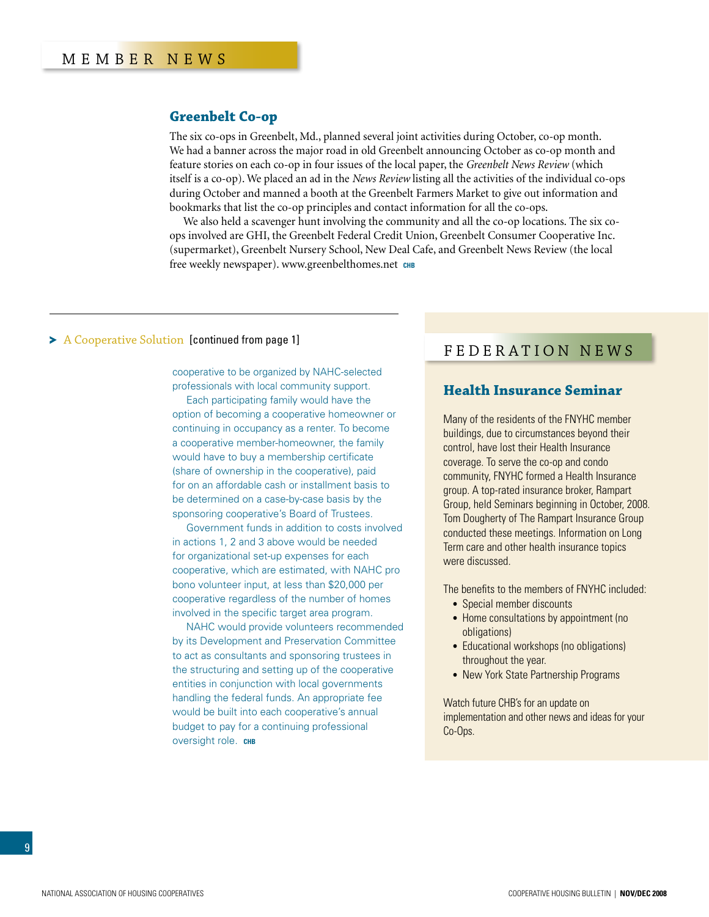### <span id="page-8-0"></span>**Greenbelt Co-op**

The six co-ops in Greenbelt, Md., planned several joint activities during October, co-op month. We had a banner across the major road in old Greenbelt announcing October as co-op month and feature stories on each co-op in four issues of the local paper, the *Greenbelt News Review* (which itself is a co-op). We placed an ad in the *News Review* listing all the activities of the individual co-ops during October and manned a booth at the Greenbelt Farmers Market to give out information and bookmarks that list the co-op principles and contact information for all the co-ops.

We also held a scavenger hunt involving the community and all the co-op locations. The six coops involved are GHI, the Greenbelt Federal Credit Union, Greenbelt Consumer Cooperative Inc. (supermarket), Greenbelt Nursery School, New Deal Cafe, and Greenbelt News Review (the local free weekly newspaper). www.greenbelthomes.net **chb**

### A Cooperative Solution [\[continued from page 1\]](#page-0-0)

cooperative to be organized by NAHC-selected professionals with local community support.

Each participating family would have the option of becoming a cooperative homeowner or continuing in occupancy as a renter. To become a cooperative member-homeowner, the family would have to buy a membership certificate (share of ownership in the cooperative), paid for on an affordable cash or installment basis to be determined on a case-by-case basis by the sponsoring cooperative's Board of Trustees.

Government funds in addition to costs involved in actions 1, 2 and 3 above would be needed for organizational set-up expenses for each cooperative, which are estimated, with NAHC pro bono volunteer input, at less than \$20,000 per cooperative regardless of the number of homes involved in the specific target area program.

NAHC would provide volunteers recommended by its Development and Preservation Committee to act as consultants and sponsoring trustees in the structuring and setting up of the cooperative entities in conjunction with local governments handling the federal funds. An appropriate fee would be built into each cooperative's annual budget to pay for a continuing professional oversight role. **CHB** 

# federation news

### **Health Insurance Seminar**

Many of the residents of the FNYHC member buildings, due to circumstances beyond their control, have lost their Health Insurance coverage. To serve the co-op and condo community, FNYHC formed a Health Insurance group. A top-rated insurance broker, Rampart Group, held Seminars beginning in October, 2008. Tom Dougherty of The Rampart Insurance Group conducted these meetings. Information on Long Term care and other health insurance topics were discussed.

The benefits to the members of FNYHC included:

- Special member discounts
- Home consultations by appointment (no obligations)
- Educational workshops (no obligations) throughout the year.
- New York State Partnership Programs

Watch future CHB's for an update on implementation and other news and ideas for your Co-Ops.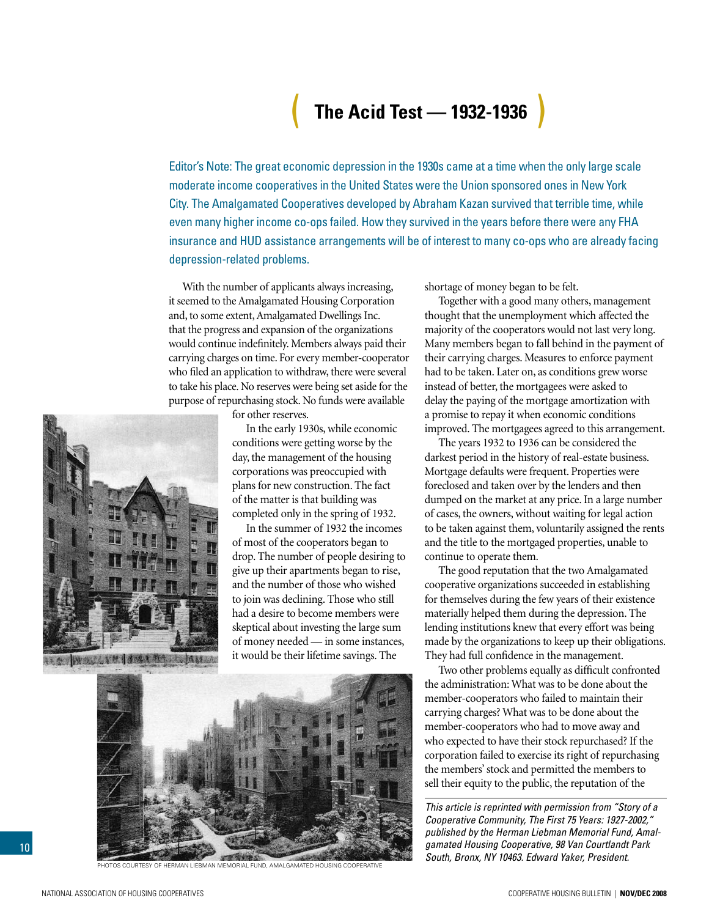# ( **The Acid Test — 1932-1936** )

<span id="page-9-0"></span>Editor's Note: The great economic depression in the 1930s came at a time when the only large scale moderate income cooperatives in the United States were the Union sponsored ones in New York City. The Amalgamated Cooperatives developed by Abraham Kazan survived that terrible time, while even many higher income co-ops failed. How they survived in the years before there were any FHA insurance and HUD assistance arrangements will be of interest to many co-ops who are already facing depression-related problems.

With the number of applicants always increasing, it seemed to the Amalgamated Housing Corporation and, to some extent, Amalgamated Dwellings Inc. that the progress and expansion of the organizations would continue indefinitely. Members always paid their carrying charges on time. For every member-cooperator who filed an application to withdraw, there were several to take his place. No reserves were being set aside for the purpose of repurchasing stock. No funds were available

for other reserves.

In the early 1930s, while economic conditions were getting worse by the day, the management of the housing corporations was preoccupied with plans for new construction. The fact of the matter is that building was completed only in the spring of 1932.

In the summer of 1932 the incomes of most of the cooperators began to drop. The number of people desiring to give up their apartments began to rise, and the number of those who wished to join was declining. Those who still had a desire to become members were skeptical about investing the large sum of money needed — in some instances, it would be their lifetime savings. The



PHOTOS COURTESY OF HERMAN LIEBMAN MEMORIAL FUND, AMALGAMATED HOUSING CC

shortage of money began to be felt.

Together with a good many others, management thought that the unemployment which affected the majority of the cooperators would not last very long. Many members began to fall behind in the payment of their carrying charges. Measures to enforce payment had to be taken. Later on, as conditions grew worse instead of better, the mortgagees were asked to delay the paying of the mortgage amortization with a promise to repay it when economic conditions improved. The mortgagees agreed to this arrangement.

The years 1932 to 1936 can be considered the darkest period in the history of real-estate business. Mortgage defaults were frequent. Properties were foreclosed and taken over by the lenders and then dumped on the market at any price. In a large number of cases, the owners, without waiting for legal action to be taken against them, voluntarily assigned the rents and the title to the mortgaged properties, unable to continue to operate them.

The good reputation that the two Amalgamated cooperative organizations succeeded in establishing for themselves during the few years of their existence materially helped them during the depression. The lending institutions knew that every effort was being made by the organizations to keep up their obligations. They had full confidence in the management.

Two other problems equally as difficult confronted the administration: What was to be done about the member-cooperators who failed to maintain their carrying charges? What was to be done about the member-cooperators who had to move away and who expected to have their stock repurchased? If the corporation failed to exercise its right of repurchasing the members' stock and permitted the members to sell their equity to the public, the reputation of the

*This article is reprinted with permission from "Story of a Cooperative Community, The First 75 Years: 1927-2002," published by the Herman Liebman Memorial Fund, Amalgamated Housing Cooperative, 98 Van Courtlandt Park South, Bronx, NY 10463. Edward Yaker, President.*

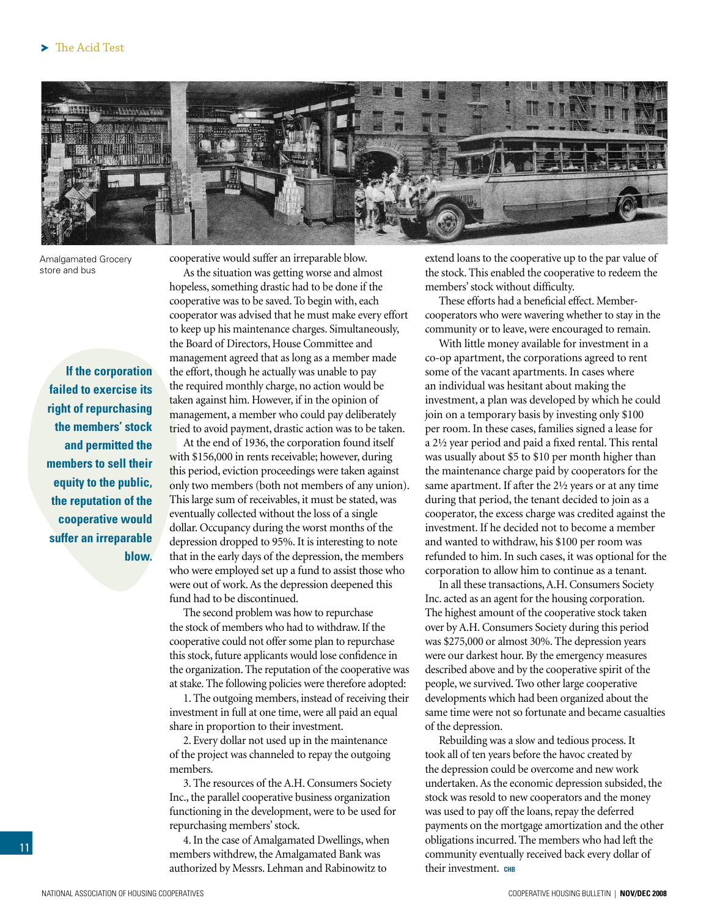

Amalgamated Grocery store and bus

cooperative would suffer an irreparable blow.

As the situation was getting worse and almost hopeless, something drastic had to be done if the cooperative was to be saved. To begin with, each cooperator was advised that he must make every effort to keep up his maintenance charges. Simultaneously, the Board of Directors, House Committee and management agreed that as long as a member made the effort, though he actually was unable to pay the required monthly charge, no action would be taken against him. However, if in the opinion of management, a member who could pay deliberately tried to avoid payment, drastic action was to be taken.

At the end of 1936, the corporation found itself with \$156,000 in rents receivable; however, during this period, eviction proceedings were taken against only two members (both not members of any union). This large sum of receivables, it must be stated, was eventually collected without the loss of a single dollar. Occupancy during the worst months of the depression dropped to 95%. It is interesting to note that in the early days of the depression, the members who were employed set up a fund to assist those who were out of work. As the depression deepened this fund had to be discontinued.

The second problem was how to repurchase the stock of members who had to withdraw. If the cooperative could not offer some plan to repurchase this stock, future applicants would lose confidence in the organization. The reputation of the cooperative was at stake. The following policies were therefore adopted:

1. The outgoing members, instead of receiving their investment in full at one time, were all paid an equal share in proportion to their investment.

2. Every dollar not used up in the maintenance of the project was channeled to repay the outgoing members.

3. The resources of the A.H. Consumers Society Inc., the parallel cooperative business organization functioning in the development, were to be used for repurchasing members' stock.

4. In the case of Amalgamated Dwellings, when members withdrew, the Amalgamated Bank was authorized by Messrs. Lehman and Rabinowitz to

extend loans to the cooperative up to the par value of the stock. This enabled the cooperative to redeem the members' stock without difficulty.

These efforts had a beneficial effect. Membercooperators who were wavering whether to stay in the community or to leave, were encouraged to remain.

With little money available for investment in a co-op apartment, the corporations agreed to rent some of the vacant apartments. In cases where an individual was hesitant about making the investment, a plan was developed by which he could join on a temporary basis by investing only \$100 per room. In these cases, families signed a lease for a 2½ year period and paid a fixed rental. This rental was usually about \$5 to \$10 per month higher than the maintenance charge paid by cooperators for the same apartment. If after the 2½ years or at any time during that period, the tenant decided to join as a cooperator, the excess charge was credited against the investment. If he decided not to become a member and wanted to withdraw, his \$100 per room was refunded to him. In such cases, it was optional for the corporation to allow him to continue as a tenant.

In all these transactions, A.H. Consumers Society Inc. acted as an agent for the housing corporation. The highest amount of the cooperative stock taken over by A.H. Consumers Society during this period was \$275,000 or almost 30%. The depression years were our darkest hour. By the emergency measures described above and by the cooperative spirit of the people, we survived. Two other large cooperative developments which had been organized about the same time were not so fortunate and became casualties of the depression.

Rebuilding was a slow and tedious process. It took all of ten years before the havoc created by the depression could be overcome and new work undertaken. As the economic depression subsided, the stock was resold to new cooperators and the money was used to pay off the loans, repay the deferred payments on the mortgage amortization and the other obligations incurred. The members who had left the community eventually received back every dollar of their investment. **CHB** 

 **If the corporation failed to exercise its right of repurchasing the members' stock and permitted the members to sell their equity to the public, the reputation of the cooperative would suffer an irreparable blow.**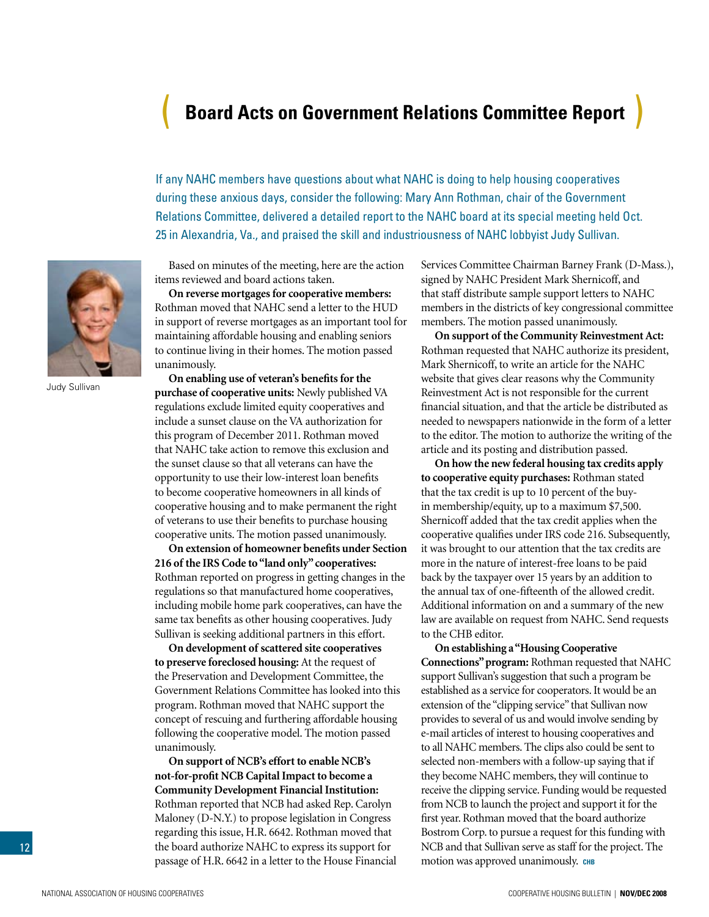# <span id="page-11-0"></span>( **Board Acts on Government Relations Committee Report** )

If any NAHC members have questions about what NAHC is doing to help housing cooperatives during these anxious days, consider the following: Mary Ann Rothman, chair of the Government Relations Committee, delivered a detailed report to the NAHC board at its special meeting held Oct. 25 in Alexandria, Va., and praised the skill and industriousness of NAHC lobbyist Judy Sullivan.



Judy Sullivan

Based on minutes of the meeting, here are the action items reviewed and board actions taken.

**On reverse mortgages for cooperative members:** Rothman moved that NAHC send a letter to the HUD in support of reverse mortgages as an important tool for maintaining affordable housing and enabling seniors to continue living in their homes. The motion passed unanimously.

**On enabling use of veteran's benefits for the purchase of cooperative units:** Newly published VA regulations exclude limited equity cooperatives and include a sunset clause on the VA authorization for this program of December 2011. Rothman moved that NAHC take action to remove this exclusion and the sunset clause so that all veterans can have the opportunity to use their low-interest loan benefits to become cooperative homeowners in all kinds of cooperative housing and to make permanent the right of veterans to use their benefits to purchase housing cooperative units. The motion passed unanimously.

**On extension of homeowner benefits under Section 216 of the IRS Code to "land only" cooperatives:** Rothman reported on progress in getting changes in the regulations so that manufactured home cooperatives, including mobile home park cooperatives, can have the same tax benefits as other housing cooperatives. Judy Sullivan is seeking additional partners in this effort.

**On development of scattered site cooperatives to preserve foreclosed housing:** At the request of the Preservation and Development Committee, the Government Relations Committee has looked into this program. Rothman moved that NAHC support the concept of rescuing and furthering affordable housing following the cooperative model. The motion passed unanimously.

**On support of NCB's effort to enable NCB's not-for-profit NCB Capital Impact to become a Community Development Financial Institution:** Rothman reported that NCB had asked Rep. Carolyn Maloney (D-N.Y.) to propose legislation in Congress regarding this issue, H.R. 6642. Rothman moved that the board authorize NAHC to express its support for passage of H.R. 6642 in a letter to the House Financial Services Committee Chairman Barney Frank (D-Mass.), signed by NAHC President Mark Shernicoff, and that staff distribute sample support letters to NAHC members in the districts of key congressional committee members. The motion passed unanimously.

**On support of the Community Reinvestment Act:** Rothman requested that NAHC authorize its president, Mark Shernicoff, to write an article for the NAHC website that gives clear reasons why the Community Reinvestment Act is not responsible for the current financial situation, and that the article be distributed as needed to newspapers nationwide in the form of a letter to the editor. The motion to authorize the writing of the article and its posting and distribution passed.

**On how the new federal housing tax credits apply to cooperative equity purchases:** Rothman stated that the tax credit is up to 10 percent of the buyin membership/equity, up to a maximum \$7,500. Shernicoff added that the tax credit applies when the cooperative qualifies under IRS code 216. Subsequently, it was brought to our attention that the tax credits are more in the nature of interest-free loans to be paid back by the taxpayer over 15 years by an addition to the annual tax of one-fifteenth of the allowed credit. Additional information on and a summary of the new law are available on request from NAHC. Send requests to the CHB editor.

**On establishing a "Housing Cooperative Connections" program:** Rothman requested that NAHC support Sullivan's suggestion that such a program be established as a service for cooperators. It would be an extension of the "clipping service" that Sullivan now provides to several of us and would involve sending by e-mail articles of interest to housing cooperatives and to all NAHC members. The clips also could be sent to selected non-members with a follow-up saying that if they become NAHC members, they will continue to receive the clipping service. Funding would be requested from NCB to launch the project and support it for the first year. Rothman moved that the board authorize Bostrom Corp. to pursue a request for this funding with NCB and that Sullivan serve as staff for the project. The motion was approved unanimously. CHB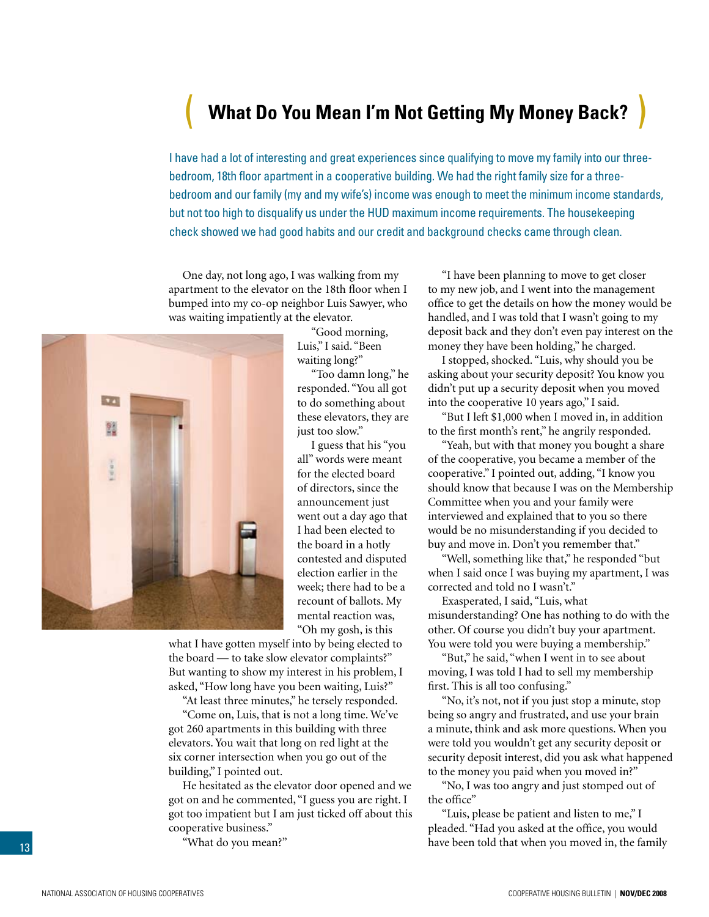# <span id="page-12-0"></span>( **What Do You Mean I'm Not Getting My Money Back?** )

I have had a lot of interesting and great experiences since qualifying to move my family into our threebedroom, 18th floor apartment in a cooperative building. We had the right family size for a threebedroom and our family (my and my wife's) income was enough to meet the minimum income standards, but not too high to disqualify us under the HUD maximum income requirements. The housekeeping check showed we had good habits and our credit and background checks came through clean.

One day, not long ago, I was walking from my apartment to the elevator on the 18th floor when I bumped into my co-op neighbor Luis Sawyer, who was waiting impatiently at the elevator.



"Good morning, Luis," I said. "Been waiting long?"

"Too damn long," he responded. "You all got to do something about these elevators, they are just too slow."

I guess that his "you all" words were meant for the elected board of directors, since the announcement just went out a day ago that I had been elected to the board in a hotly contested and disputed election earlier in the week; there had to be a recount of ballots. My mental reaction was, "Oh my gosh, is this

what I have gotten myself into by being elected to the board — to take slow elevator complaints?" But wanting to show my interest in his problem, I asked, "How long have you been waiting, Luis?"

"At least three minutes," he tersely responded.

"Come on, Luis, that is not a long time. We've got 260 apartments in this building with three elevators. You wait that long on red light at the six corner intersection when you go out of the building," I pointed out.

He hesitated as the elevator door opened and we got on and he commented, "I guess you are right. I got too impatient but I am just ticked off about this cooperative business."

"What do you mean?"

"I have been planning to move to get closer to my new job, and I went into the management office to get the details on how the money would be handled, and I was told that I wasn't going to my deposit back and they don't even pay interest on the money they have been holding," he charged.

I stopped, shocked. "Luis, why should you be asking about your security deposit? You know you didn't put up a security deposit when you moved into the cooperative 10 years ago," I said.

"But I left \$1,000 when I moved in, in addition to the first month's rent," he angrily responded.

"Yeah, but with that money you bought a share of the cooperative, you became a member of the cooperative." I pointed out, adding, "I know you should know that because I was on the Membership Committee when you and your family were interviewed and explained that to you so there would be no misunderstanding if you decided to buy and move in. Don't you remember that."

"Well, something like that," he responded "but when I said once I was buying my apartment, I was corrected and told no I wasn't."

Exasperated, I said, "Luis, what misunderstanding? One has nothing to do with the other. Of course you didn't buy your apartment. You were told you were buying a membership."

"But," he said, "when I went in to see about moving, I was told I had to sell my membership first. This is all too confusing."

"No, it's not, not if you just stop a minute, stop being so angry and frustrated, and use your brain a minute, think and ask more questions. When you were told you wouldn't get any security deposit or security deposit interest, did you ask what happened to the money you paid when you moved in?"

"No, I was too angry and just stomped out of the office"

"Luis, please be patient and listen to me," I pleaded. "Had you asked at the office, you would have been told that when you moved in, the family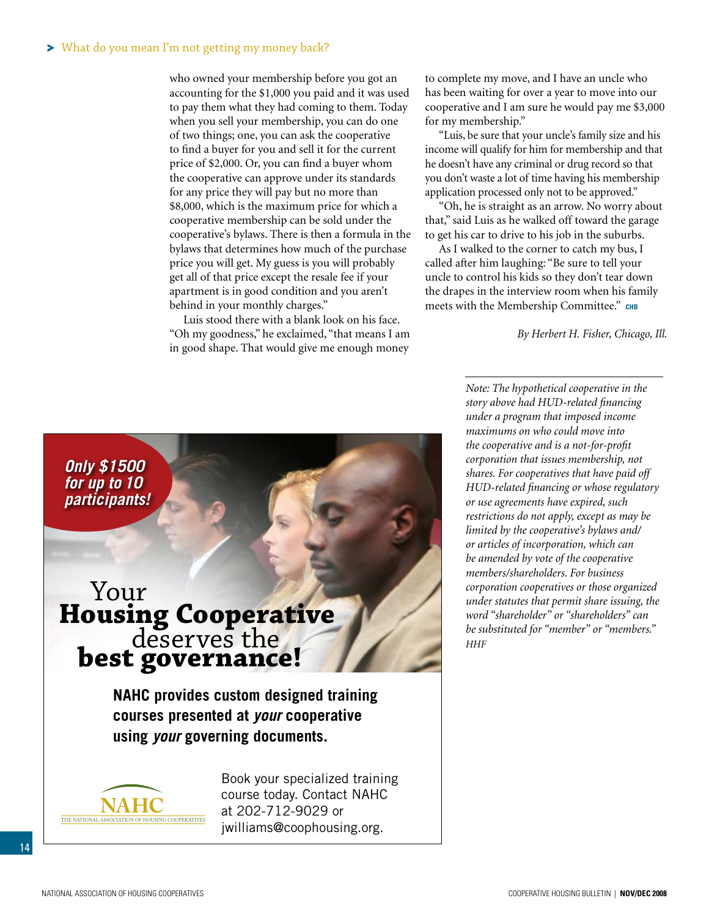#### What do you mean I'm not getting my money back?

who owned your membership before you got an accounting for the \$1,000 you paid and it was used to pay them what they had coming to them. Today when you sell your membership, you can do one of two things; one, you can ask the cooperative to find a buyer for you and sell it for the current price of \$2,000. Or, you can find a buyer whom the cooperative can approve under its standards for any price they will pay but no more than \$8,000, which is the maximum price for which a cooperative membership can be sold under the cooperative's bylaws. There is then a formula in the bylaws that determines how much of the purchase price you will get. My guess is you will probably get all of that price except the resale fee if your apartment is in good condition and you aren't behind in your monthly charges."

Luis stood there with a blank look on his face. "Oh my goodness," he exclaimed, "that means I am in good shape. That would give me enough money

to complete my move, and I have an uncle who has been waiting for over a year to move into our cooperative and I am sure he would pay me \$3,000 for my membership."

"Luis, be sure that your uncle's family size and his income will qualify for him for membership and that he doesn't have any criminal or drug record so that you don't waste a lot of time having his membership application processed only not to be approved."

"Oh, he is straight as an arrow. No worry about that," said Luis as he walked off toward the garage to get his car to drive to his job in the suburbs.

As I walked to the corner to catch my bus, I called after him laughing: "Be sure to tell your uncle to control his kids so they don't tear down the drapes in the interview room when his family meets with the Membership Committee." CHB

*By Herbert H. Fisher, Chicago, Ill.*

*Only \$1500 for up to 10 participants!*

# **Housing Cooperative** deserves the deserves **the**

**NAHC provides custom designed training courses presented at** *your* **cooperative using** *your* **governing documents.**



Book your specialized training course today. Contact NAHC at 202-712-9029 or jwilliams@coophousing.org.

*Note: The hypothetical cooperative in the story above had HUD-related financing under a program that imposed income maximums on who could move into the cooperative and is a not-for-profit corporation that issues membership, not shares. For cooperatives that have paid off HUD-related financing or whose regulatory or use agreements have expired, such restrictions do not apply, except as may be limited by the cooperative's bylaws and/ or articles of incorporation, which can be amended by vote of the cooperative members/shareholders. For business corporation cooperatives or those organized under statutes that permit share issuing, the word "shareholder" or "shareholders" can be substituted for "member" or "members." HHF*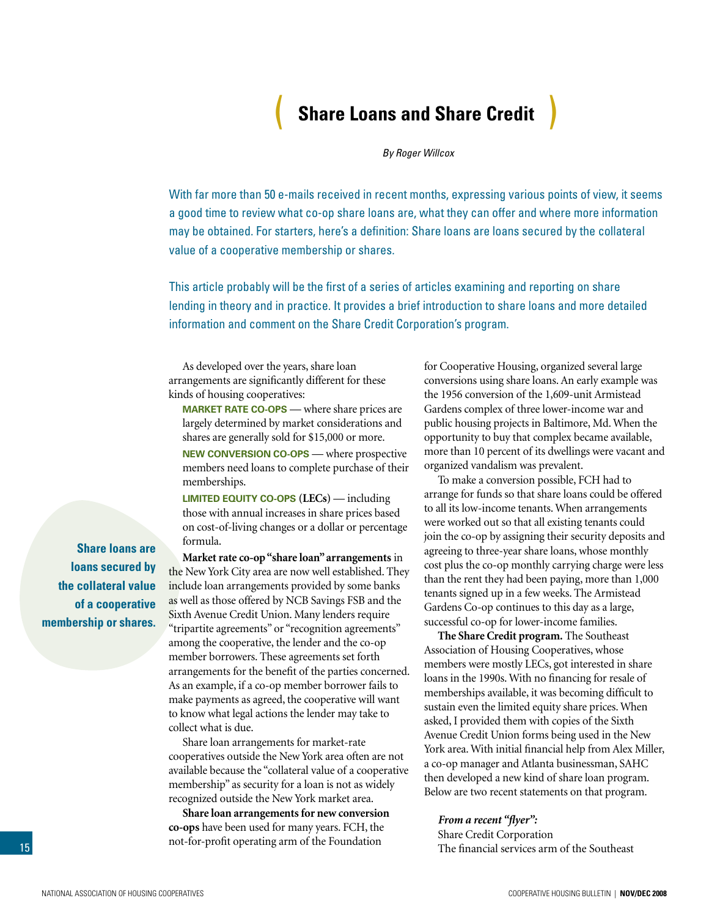# ( **Share Loans and Share Credit** )

*By Roger Willcox*

<span id="page-14-0"></span>With far more than 50 e-mails received in recent months, expressing various points of view, it seems a good time to review what co-op share loans are, what they can offer and where more information may be obtained. For starters, here's a definition: Share loans are loans secured by the collateral value of a cooperative membership or shares.

This article probably will be the first of a series of articles examining and reporting on share lending in theory and in practice. It provides a brief introduction to share loans and more detailed information and comment on the Share Credit Corporation's program.

As developed over the years, share loan arrangements are significantly different for these kinds of housing cooperatives:

**Market rate co-ops** — where share prices are largely determined by market considerations and shares are generally sold for \$15,000 or more.

**New conversion co-ops** — where prospective members need loans to complete purchase of their memberships.

**Limited equity co-ops (LECs)** — including those with annual increases in share prices based on cost-of-living changes or a dollar or percentage formula.

**Market rate co-op "share loan" arrangements** in the New York City area are now well established. They include loan arrangements provided by some banks as well as those offered by NCB Savings FSB and the Sixth Avenue Credit Union. Many lenders require "tripartite agreements" or "recognition agreements" among the cooperative, the lender and the co-op member borrowers. These agreements set forth arrangements for the benefit of the parties concerned. As an example, if a co-op member borrower fails to make payments as agreed, the cooperative will want to know what legal actions the lender may take to collect what is due.

Share loan arrangements for market-rate cooperatives outside the New York area often are not available because the "collateral value of a cooperative membership" as security for a loan is not as widely recognized outside the New York market area.

**Share loan arrangements for new conversion co-ops** have been used for many years. FCH, the not-for-profit operating arm of the Foundation

for Cooperative Housing, organized several large conversions using share loans. An early example was the 1956 conversion of the 1,609-unit Armistead Gardens complex of three lower-income war and public housing projects in Baltimore, Md. When the opportunity to buy that complex became available, more than 10 percent of its dwellings were vacant and organized vandalism was prevalent.

To make a conversion possible, FCH had to arrange for funds so that share loans could be offered to all its low-income tenants. When arrangements were worked out so that all existing tenants could join the co-op by assigning their security deposits and agreeing to three-year share loans, whose monthly cost plus the co-op monthly carrying charge were less than the rent they had been paying, more than 1,000 tenants signed up in a few weeks. The Armistead Gardens Co-op continues to this day as a large, successful co-op for lower-income families.

**The Share Credit program.** The Southeast Association of Housing Cooperatives, whose members were mostly LECs, got interested in share loans in the 1990s. With no financing for resale of memberships available, it was becoming difficult to sustain even the limited equity share prices. When asked, I provided them with copies of the Sixth Avenue Credit Union forms being used in the New York area. With initial financial help from Alex Miller, a co-op manager and Atlanta businessman, SAHC then developed a new kind of share loan program. Below are two recent statements on that program.

*From a recent "flyer":* Share Credit Corporation The financial services arm of the Southeast

**Share loans are loans secured by the collateral value of a cooperative membership or shares.**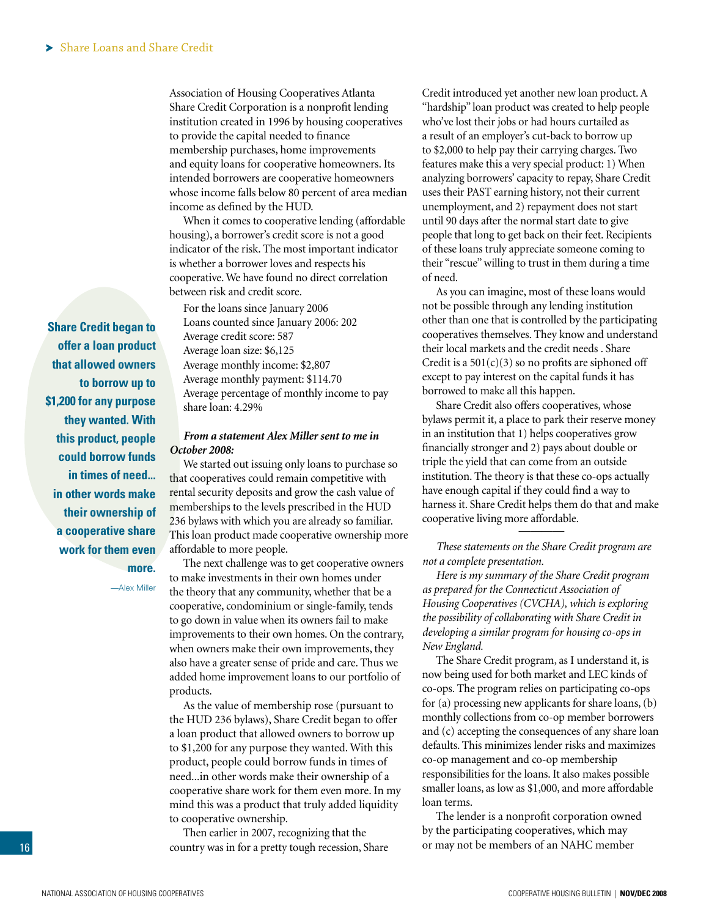Association of Housing Cooperatives Atlanta Share Credit Corporation is a nonprofit lending institution created in 1996 by housing cooperatives to provide the capital needed to finance membership purchases, home improvements and equity loans for cooperative homeowners. Its intended borrowers are cooperative homeowners whose income falls below 80 percent of area median income as defined by the HUD.

When it comes to cooperative lending (affordable housing), a borrower's credit score is not a good indicator of the risk. The most important indicator is whether a borrower loves and respects his cooperative. We have found no direct correlation between risk and credit score.

For the loans since January 2006 Loans counted since January 2006: 202 Average credit score: 587 Average loan size: \$6,125 Average monthly income: \$2,807 Average monthly payment: \$114.70 Average percentage of monthly income to pay share loan: 4.29%

### *From a statement Alex Miller sent to me in October 2008:*

We started out issuing only loans to purchase so that cooperatives could remain competitive with rental security deposits and grow the cash value of memberships to the levels prescribed in the HUD 236 bylaws with which you are already so familiar. This loan product made cooperative ownership more affordable to more people.

The next challenge was to get cooperative owners to make investments in their own homes under the theory that any community, whether that be a cooperative, condominium or single-family, tends to go down in value when its owners fail to make improvements to their own homes. On the contrary, when owners make their own improvements, they also have a greater sense of pride and care. Thus we added home improvement loans to our portfolio of products.

As the value of membership rose (pursuant to the HUD 236 bylaws), Share Credit began to offer a loan product that allowed owners to borrow up to \$1,200 for any purpose they wanted. With this product, people could borrow funds in times of need...in other words make their ownership of a cooperative share work for them even more. In my mind this was a product that truly added liquidity to cooperative ownership.

Then earlier in 2007, recognizing that the country was in for a pretty tough recession, Share

Credit introduced yet another new loan product. A "hardship" loan product was created to help people who've lost their jobs or had hours curtailed as a result of an employer's cut-back to borrow up to \$2,000 to help pay their carrying charges. Two features make this a very special product: 1) When analyzing borrowers' capacity to repay, Share Credit uses their PAST earning history, not their current unemployment, and 2) repayment does not start until 90 days after the normal start date to give people that long to get back on their feet. Recipients of these loans truly appreciate someone coming to their "rescue" willing to trust in them during a time of need.

As you can imagine, most of these loans would not be possible through any lending institution other than one that is controlled by the participating cooperatives themselves. They know and understand their local markets and the credit needs . Share Credit is a  $501(c)(3)$  so no profits are siphoned off except to pay interest on the capital funds it has borrowed to make all this happen.

Share Credit also offers cooperatives, whose bylaws permit it, a place to park their reserve money in an institution that 1) helps cooperatives grow financially stronger and 2) pays about double or triple the yield that can come from an outside institution. The theory is that these co-ops actually have enough capital if they could find a way to harness it. Share Credit helps them do that and make cooperative living more affordable. ————

*These statements on the Share Credit program are not a complete presentation.* 

*Here is my summary of the Share Credit program as prepared for the Connecticut Association of Housing Cooperatives (CVCHA), which is exploring the possibility of collaborating with Share Credit in developing a similar program for housing co-ops in New England.* 

The Share Credit program, as I understand it, is now being used for both market and LEC kinds of co-ops. The program relies on participating co-ops for (a) processing new applicants for share loans, (b) monthly collections from co-op member borrowers and (c) accepting the consequences of any share loan defaults. This minimizes lender risks and maximizes co-op management and co-op membership responsibilities for the loans. It also makes possible smaller loans, as low as \$1,000, and more affordable loan terms.

The lender is a nonprofit corporation owned by the participating cooperatives, which may or may not be members of an NAHC member

**Share Credit began to offer a loan product that allowed owners to borrow up to \$1,200 for any purpose they wanted. With this product, people could borrow funds in times of need... in other words make their ownership of a cooperative share work for them even more.** 

—Alex Miller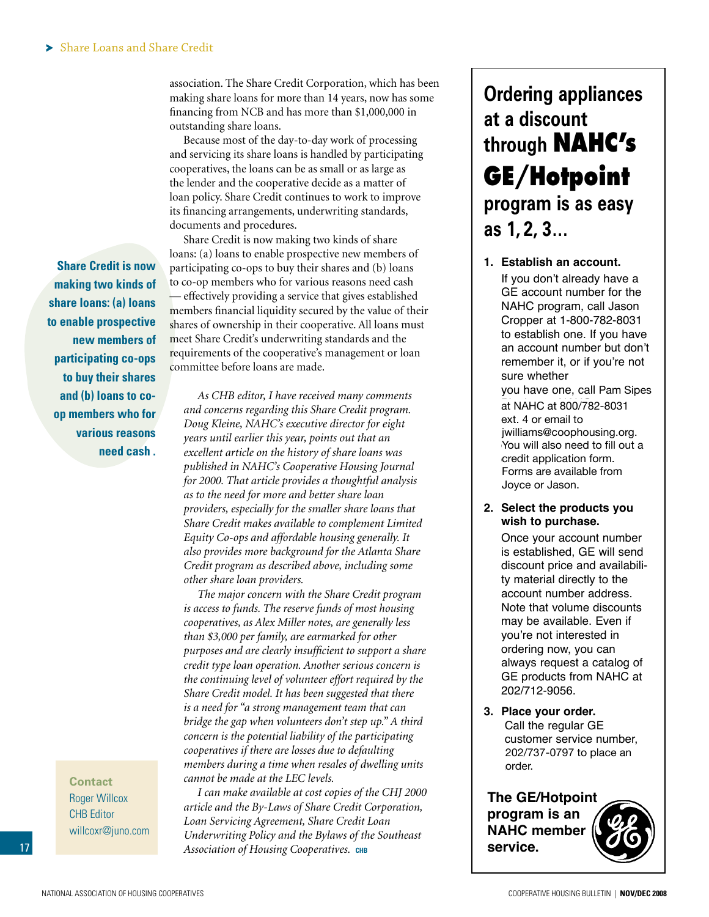association. The Share Credit Corporation, which has been making share loans for more than 14 years, now has some financing from NCB and has more than \$1,000,000 in outstanding share loans.

Because most of the day-to-day work of processing and servicing its share loans is handled by participating cooperatives, the loans can be as small or as large as the lender and the cooperative decide as a matter of loan policy. Share Credit continues to work to improve its financing arrangements, underwriting standards, documents and procedures.

**Share Credit is now making two kinds of share loans: (a) loans to enable prospective new members of participating co-ops to buy their shares and (b) loans to coop members who for various reasons need cash .**

> **Contact** Roger Willcox CHB Editor willcoxr@juno.com

Share Credit is now making two kinds of share loans: (a) loans to enable prospective new members of participating co-ops to buy their shares and (b) loans to co-op members who for various reasons need cash — effectively providing a service that gives established members financial liquidity secured by the value of their shares of ownership in their cooperative. All loans must meet Share Credit's underwriting standards and the requirements of the cooperative's management or loan committee before loans are made.

*As CHB editor, I have received many comments and concerns regarding this Share Credit program. Doug Kleine, NAHC's executive director for eight years until earlier this year, points out that an excellent article on the history of share loans was published in NAHC's Cooperative Housing Journal for 2000. That article provides a thoughtful analysis as to the need for more and better share loan providers, especially for the smaller share loans that Share Credit makes available to complement Limited Equity Co-ops and affordable housing generally. It also provides more background for the Atlanta Share Credit program as described above, including some other share loan providers.* 

*The major concern with the Share Credit program is access to funds. The reserve funds of most housing cooperatives, as Alex Miller notes, are generally less than \$3,000 per family, are earmarked for other purposes and are clearly insufficient to support a share credit type loan operation. Another serious concern is the continuing level of volunteer effort required by the Share Credit model. It has been suggested that there is a need for "a strong management team that can bridge the gap when volunteers don't step up." A third concern is the potential liability of the participating cooperatives if there are losses due to defaulting members during a time when resales of dwelling units cannot be made at the LEC levels.*

*I can make available at cost copies of the CHJ 2000 article and the By-Laws of Share Credit Corporation, Loan Servicing Agreement, Share Credit Loan Underwriting Policy and the Bylaws of the Southeast Association of Housing Cooperatives.* **chb**

# **Ordering appliances at a discount through NAHC's GE/Hotpoint program is as easy as 1, 2, 3…**

**1. Establish an account.** If you don't already have a GE account number for the NAHC program, call Jason Cropper at 1-800-782-8031 to establish one. If you have an account number but don't remember it, or if you're not sure whether you have one, call Pam Sipes at NAHC at 800/782-8031 ext. 4 or email to jwilliams@coophousing.org. You will also need to fill out a credit application form. Forms are available from Forms are available from Joyce or Jason.

### **2. Select the products you wish to purchase.**

Once your account number is established, GE will send discount price and availability material directly to the account number address. Note that volume discounts may be available. Even if you're not interested in ordering now, you can always request a catalog of GE products from NAHC at 202/712-9056.

**3. Place your order.** Call the regular GE customer service number, 202/737-0797 to place an an order. order.

**The GE/Hotpoint program is an NAHC member service.**

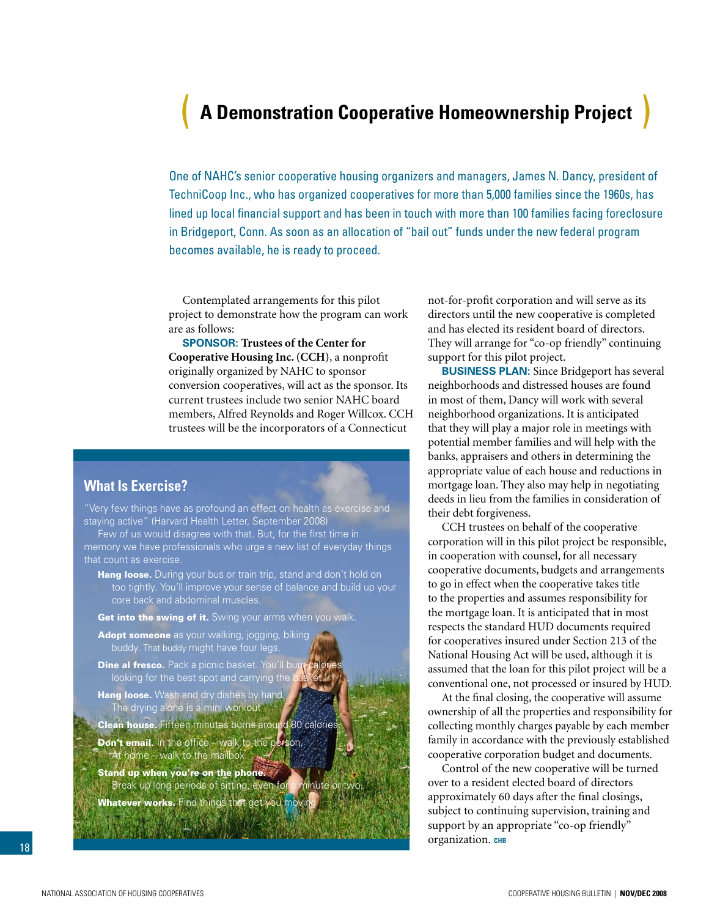# <span id="page-17-0"></span>( **A Demonstration Cooperative Homeownership Project** )

One of NAHC's senior cooperative housing organizers and managers, James N. Dancy, president of TechniCoop Inc., who has organized cooperatives for more than 5,000 families since the 1960s, has lined up local financial support and has been in touch with more than 100 families facing foreclosure in Bridgeport, Conn. As soon as an allocation of "bail out" funds under the new federal program becomes available, he is ready to proceed.

Contemplated arrangements for this pilot project to demonstrate how the program can work are as follows:

**Sponsor: Trustees of the Center for Cooperative Housing Inc. (CCH)**, a nonprofit originally organized by NAHC to sponsor conversion cooperatives, will act as the sponsor. Its current trustees include two senior NAHC board members, Alfred Reynolds and Roger Willcox. CCH trustees will be the incorporators of a Connecticut

# **What Is Exercise?**

"Very few things have as profound an effect on health as exercise and staying active" (Harvard Health Letter, September 2008)

Few of us would disagree with that. But, for the first time in memory we have professionals who urge a new list of everyday things that count as exercise.

Hang loose. During your bus or train trip, stand and don't hold on too tightly. You'll improve your sense of balance and build up your core back and abdominal muscles.

Get into the swing of it. Swing your arms when you walk.

- Adopt someone as your walking, jogging, biking buddy. That buddy might have four legs.
- Dine al fresco. Pack a picnic basket. You'll bu looking for the best spot and carrying the
- Hang loose. Wash and dry dishes by hand. The drying alone is a mini workout
- Clean house. Fifteen minutes burns around 80 calories
- **Don't email.** In the office walk to the person. At home – walk to the mailbox.
- Stand up when you're on the phone. Break up long periods of sitting, even for a minute or two.
- Whatever works. Find things that get you movin

not-for-profit corporation and will serve as its directors until the new cooperative is completed and has elected its resident board of directors. They will arrange for "co-op friendly" continuing support for this pilot project.

**Business Plan:** Since Bridgeport has several neighborhoods and distressed houses are found in most of them, Dancy will work with several neighborhood organizations. It is anticipated that they will play a major role in meetings with potential member families and will help with the banks, appraisers and others in determining the appropriate value of each house and reductions in mortgage loan. They also may help in negotiating deeds in lieu from the families in consideration of their debt forgiveness.

CCH trustees on behalf of the cooperative corporation will in this pilot project be responsible, in cooperation with counsel, for all necessary cooperative documents, budgets and arrangements to go in effect when the cooperative takes title to the properties and assumes responsibility for the mortgage loan. It is anticipated that in most respects the standard HUD documents required for cooperatives insured under Section 213 of the National Housing Act will be used, although it is assumed that the loan for this pilot project will be a conventional one, not processed or insured by HUD.

At the final closing, the cooperative will assume ownership of all the properties and responsibility for collecting monthly charges payable by each member family in accordance with the previously established cooperative corporation budget and documents.

Control of the new cooperative will be turned over to a resident elected board of directors approximately 60 days after the final closings, subject to continuing supervision, training and support by an appropriate "co-op friendly" organization. CHB